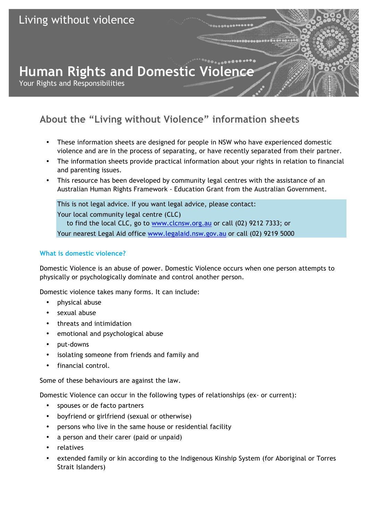# **Human Rights and Domestic Violence**

Your Rights and Responsibilities

# **About the "Living without Violence" information sheets**

- These information sheets are designed for people in NSW who have experienced domestic violence and are in the process of separating, or have recently separated from their partner.
- The information sheets provide practical information about your rights in relation to financial and parenting issues.
- This resource has been developed by community legal centres with the assistance of an Australian Human Rights Framework - Education Grant from the Australian Government.

This is not legal advice. If you want legal advice, please contact: Your local community legal centre (CLC) to find the local CLC, go to www.clcnsw.org.au or call (02) 9212 7333; or Your nearest Legal Aid office www.legalaid.nsw.gov.au or call (02) 9219 5000

# **What is domestic violence?**

Domestic Violence is an abuse of power. Domestic Violence occurs when one person attempts to physically or psychologically dominate and control another person.

Domestic violence takes many forms. It can include:

- physical abuse
- sexual abuse
- threats and intimidation
- emotional and psychological abuse
- put-downs
- isolating someone from friends and family and
- financial control.

Some of these behaviours are against the law.

Domestic Violence can occur in the following types of relationships (ex- or current):

- spouses or de facto partners
- boyfriend or girlfriend (sexual or otherwise)
- persons who live in the same house or residential facility
- a person and their carer (paid or unpaid)
- relatives
- extended family or kin according to the Indigenous Kinship System (for Aboriginal or Torres Strait Islanders)